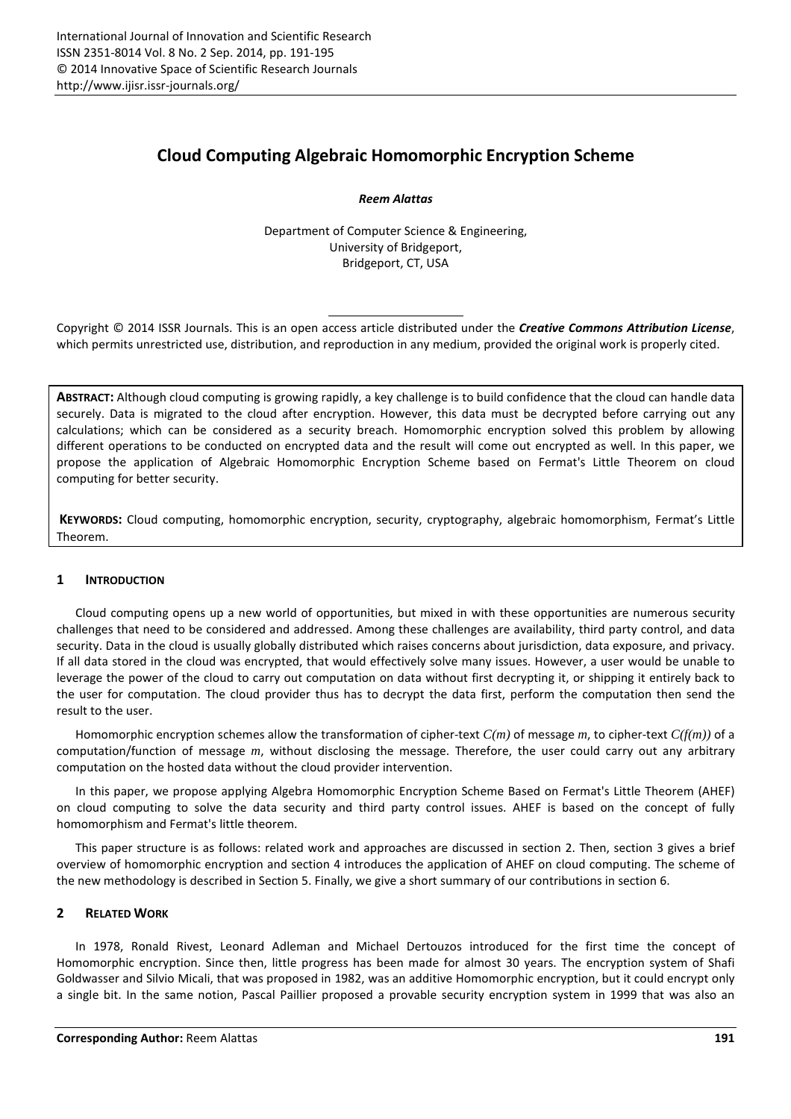# **Cloud Computing Algebraic Homomorphic Encryption Scheme**

*Reem Alattas* 

Department of Computer Science & Engineering, University of Bridgeport, Bridgeport, CT, USA

Copyright © 2014 ISSR Journals. This is an open access article distributed under the *Creative Commons Attribution License*, which permits unrestricted use, distribution, and reproduction in any medium, provided the original work is properly cited.

**ABSTRACT:** Although cloud computing is growing rapidly, a key challenge is to build confidence that the cloud can handle data securely. Data is migrated to the cloud after encryption. However, this data must be decrypted before carrying out any calculations; which can be considered as a security breach. Homomorphic encryption solved this problem by allowing different operations to be conducted on encrypted data and the result will come out encrypted as well. In this paper, we propose the application of Algebraic Homomorphic Encryption Scheme based on Fermat's Little Theorem on cloud computing for better security.

**KEYWORDS:** Cloud computing, homomorphic encryption, security, cryptography, algebraic homomorphism, Fermat's Little Theorem.

## **1 INTRODUCTION**

Cloud computing opens up a new world of opportunities, but mixed in with these opportunities are numerous security challenges that need to be considered and addressed. Among these challenges are availability, third party control, and data security. Data in the cloud is usually globally distributed which raises concerns about jurisdiction, data exposure, and privacy. If all data stored in the cloud was encrypted, that would effectively solve many issues. However, a user would be unable to leverage the power of the cloud to carry out computation on data without first decrypting it, or shipping it entirely back to the user for computation. The cloud provider thus has to decrypt the data first, perform the computation then send the result to the user.

Homomorphic encryption schemes allow the transformation of cipher-text *C(m)* of message *m*, to cipher-text *C(f(m))* of a computation/function of message *m*, without disclosing the message. Therefore, the user could carry out any arbitrary computation on the hosted data without the cloud provider intervention.

In this paper, we propose applying Algebra Homomorphic Encryption Scheme Based on Fermat's Little Theorem (AHEF) on cloud computing to solve the data security and third party control issues. AHEF is based on the concept of fully homomorphism and Fermat's little theorem.

This paper structure is as follows: related work and approaches are discussed in section 2. Then, section 3 gives a brief overview of homomorphic encryption and section 4 introduces the application of AHEF on cloud computing. The scheme of the new methodology is described in Section 5. Finally, we give a short summary of our contributions in section 6.

## **2 RELATED WORK**

In 1978, Ronald Rivest, Leonard Adleman and Michael Dertouzos introduced for the first time the concept of Homomorphic encryption. Since then, little progress has been made for almost 30 years. The encryption system of Shafi Goldwasser and Silvio Micali, that was proposed in 1982, was an additive Homomorphic encryption, but it could encrypt only a single bit. In the same notion, Pascal Paillier proposed a provable security encryption system in 1999 that was also an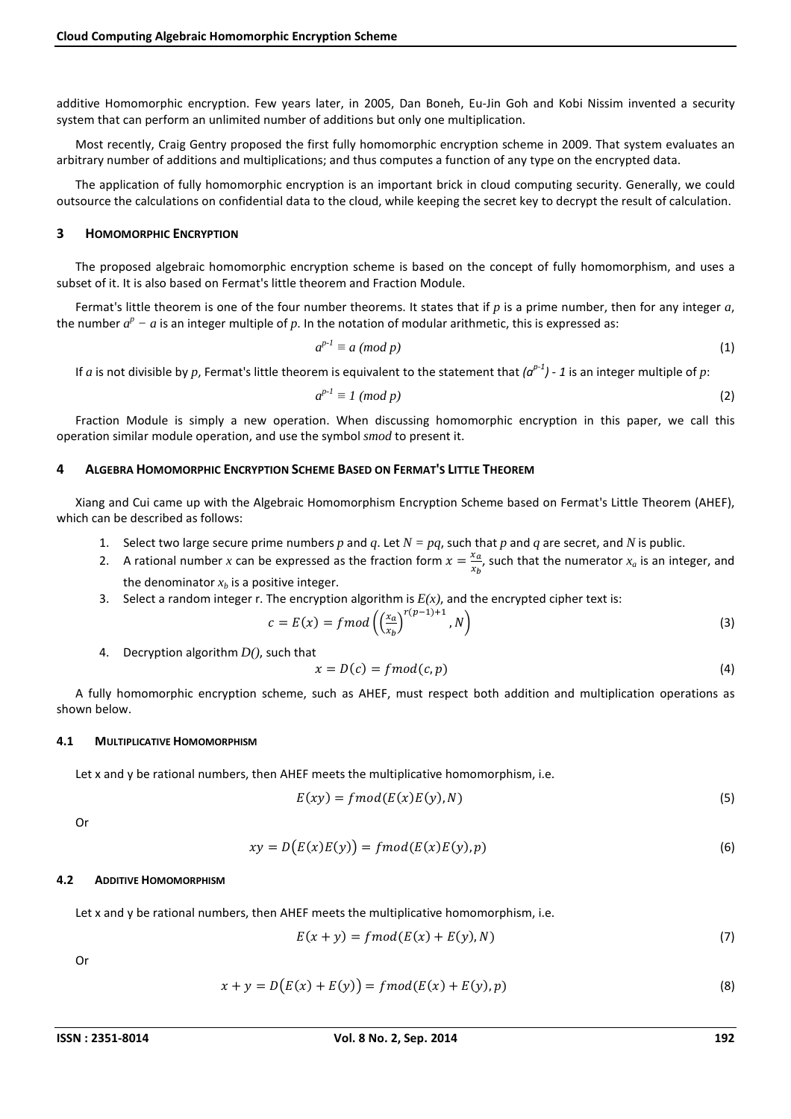additive Homomorphic encryption. Few years later, in 2005, Dan Boneh, Eu-Jin Goh and Kobi Nissim invented a security system that can perform an unlimited number of additions but only one multiplication.

Most recently, Craig Gentry proposed the first fully homomorphic encryption scheme in 2009. That system evaluates an arbitrary number of additions and multiplications; and thus computes a function of any type on the encrypted data.

The application of fully homomorphic encryption is an important brick in cloud computing security. Generally, we could outsource the calculations on confidential data to the cloud, while keeping the secret key to decrypt the result of calculation.

#### **3 HOMOMORPHIC ENCRYPTION**

The proposed algebraic homomorphic encryption scheme is based on the concept of fully homomorphism, and uses a subset of it. It is also based on Fermat's little theorem and Fraction Module.

Fermat's little theorem is one of the four number theorems. It states that if *p* is a prime number, then for any integer *a*, the number  $a^p - a$  is an integer multiple of p. In the notation of modular arithmetic, this is expressed as:

$$
a^{p-l} \equiv a \pmod{p} \tag{1}
$$

If *a* is not divisible by *p*, Fermat's little theorem is equivalent to the statement that  $(a^{p-1})$  - 1 is an integer multiple of *p*:

$$
a^{p-l} \equiv 1 \pmod{p} \tag{2}
$$

Fraction Module is simply a new operation. When discussing homomorphic encryption in this paper, we call this operation similar module operation, and use the symbol *smod* to present it.

#### **4 ALGEBRA HOMOMORPHIC ENCRYPTION SCHEME BASED ON FERMAT'S LITTLE THEOREM**

Xiang and Cui came up with the Algebraic Homomorphism Encryption Scheme based on Fermat's Little Theorem (AHEF), which can be described as follows:

- 1. Select two large secure prime numbers p and q. Let  $N = pq$ , such that p and q are secret, and N is public.
- 2. A rational number *x* can be expressed as the fraction form  $x = \frac{x_a}{x_b}$  $\frac{x_a}{x_b}$ , such that the numerator  $x_a$  is an integer, and the denominator  $x_b$  is a positive integer.
- 3. Select a random integer r. The encryption algorithm is *E(x)*, and the encrypted cipher text is:

$$
c = E(x) = \text{fmod}\left(\left(\frac{x_a}{x_b}\right)^{r(p-1)+1}, N\right) \tag{3}
$$

4. Decryption algorithm *D()*, such that

$$
x = D(c) = fmod(c, p) \tag{4}
$$

A fully homomorphic encryption scheme, such as AHEF, must respect both addition and multiplication operations as shown below.

#### **4.1 MULTIPLICATIVE HOMOMORPHISM**

Let x and y be rational numbers, then AHEF meets the multiplicative homomorphism, i.e.

$$
E(xy) = \text{fmod}(E(x)E(y), N) \tag{5}
$$

Or

$$
xy = D(E(x)E(y)) = fmod(E(x)E(y), p)
$$
\n(6)

#### **4.2 ADDITIVE HOMOMORPHISM**

Let x and y be rational numbers, then AHEF meets the multiplicative homomorphism, i.e.

$$
E(x + y) = \text{fmod}(E(x) + E(y), N) \tag{7}
$$

Or

$$
x + y = D(E(x) + E(y)) = \text{fmod}(E(x) + E(y), p)
$$
\n(8)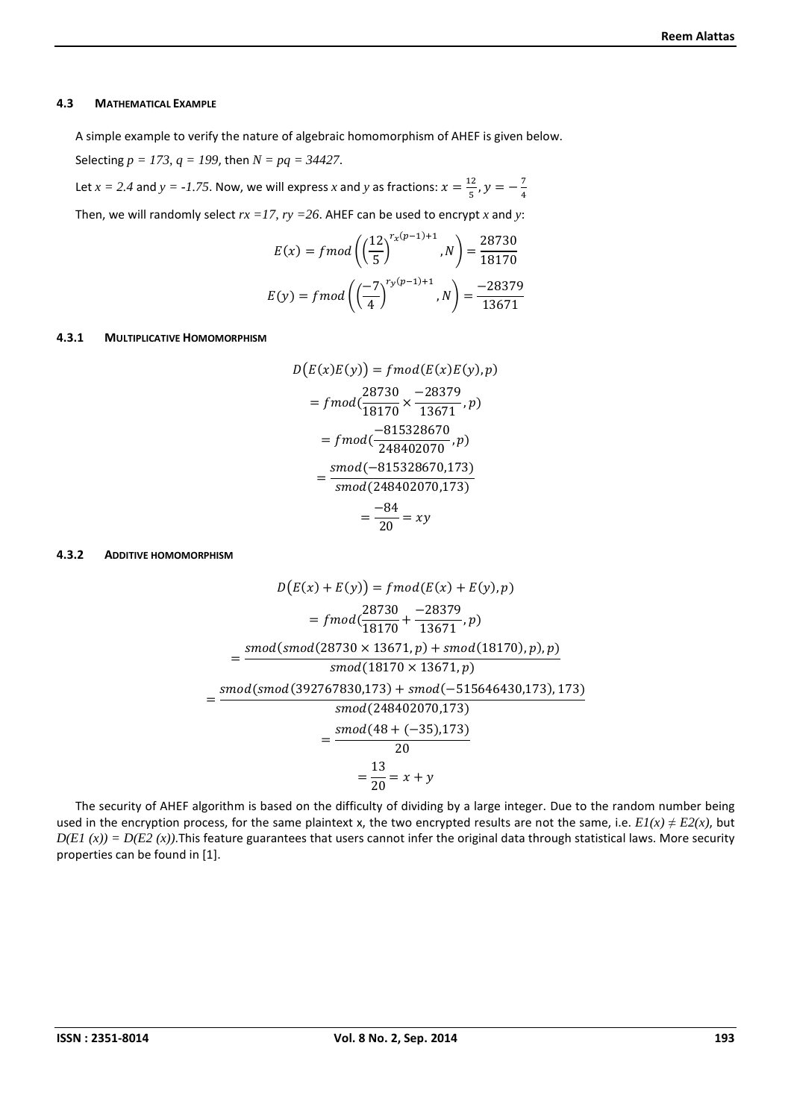#### **4.3 MATHEMATICAL EXAMPLE**

A simple example to verify the nature of algebraic homomorphism of AHEF is given below. Selecting *p = 173, q = 199*, then *N = pq = 34427*.

Let  $x = 2.4$  and  $y = -1.75$ . Now, we will express x and y as fractions:  $x = \frac{12}{5}$  $\frac{12}{5}$ ,  $y = -\frac{7}{4}$ #

Then, we will randomly select  $rx = 17$ ,  $ry = 26$ . AHEF can be used to encrypt x and y:

$$
E(x) = \text{fmod}\left(\left(\frac{12}{5}\right)^{r_x(p-1)+1}, N\right) = \frac{28730}{18170}
$$
\n
$$
E(y) = \text{fmod}\left(\left(\frac{-7}{4}\right)^{r_y(p-1)+1}, N\right) = \frac{-28379}{13671}
$$

#### **4.3.1 MULTIPLICATIVE HOMOMORPHISM**

$$
D(E(x)E(y)) = \frac{f \mod(E(x)E(y), p)}{28730} \\
= \frac{28730}{13671}, p \\
= \frac{28730}{13671}, p \\
= \frac{7815328670}{248402070}, p \\
= \frac{\text{smod}(-815328670, 173)}{\text{smod}(248402070, 173)} \\
= \frac{-84}{20} = xy
$$

#### **4.3.2 ADDITIVE HOMOMORPHISM**

$$
D(E(x) + E(y)) = \frac{38730}{28730} + \frac{1}{28730}
$$
  
= 
$$
\frac{56730}{28730} + \frac{-28379}{28730}
$$
  
= 
$$
\frac{56730}{28730} + \frac{-28379}{28730}
$$
  
= 
$$
\frac{36730}{28730} \times 13671
$$
, p) + 
$$
\frac{3673}{28730} \times 13671
$$
, p)  
= 
$$
\frac{3673}{28730} \times 13671
$$
, p)  
= 
$$
\frac{3673}{28730} \times 13671
$$
  
= 
$$
\frac{3673}{28730} \times 13671
$$
  
= 
$$
\frac{3673}{28730} \times 13671
$$
  
= 
$$
\frac{3673}{28730} \times 13671
$$
  
= 
$$
\frac{3673}{28730} \times 13671
$$
  
= 
$$
\frac{3673}{28730} \times 13671
$$
  
= 
$$
\frac{3673}{28730} \times 13671
$$
  
= 
$$
\frac{3673}{28730} \times 13671
$$
, p)  
= 
$$
\frac{3673}{28730} \times 13671
$$
, p)  
= 
$$
\frac{3673}{28730} \times 13671
$$
, p)  
= 
$$
\frac{3673}{28730} \times 13671
$$
, p)  
= 
$$
\frac{3673}{28730} \times 13671
$$
, p)  
= 
$$
\frac{3673}{28730} \times 13671
$$
, p)  
= 
$$
\frac{3673}{28730} \times 13671
$$
, p)  
= 
$$
\frac{3673}{28730} \times 13671
$$
, p)  
= 
$$
\frac{3673}{28730} \times 13671
$$
, p)  
= 
$$
\frac
$$

The security of AHEF algorithm is based on the difficulty of dividing by a large integer. Due to the random number being used in the encryption process, for the same plaintext x, the two encrypted results are not the same, i.e.  $EI(x) \neq E2(x)$ , but  $D(E1 (x)) = D(E2 (x))$ . This feature guarantees that users cannot infer the original data through statistical laws. More security properties can be found in [1].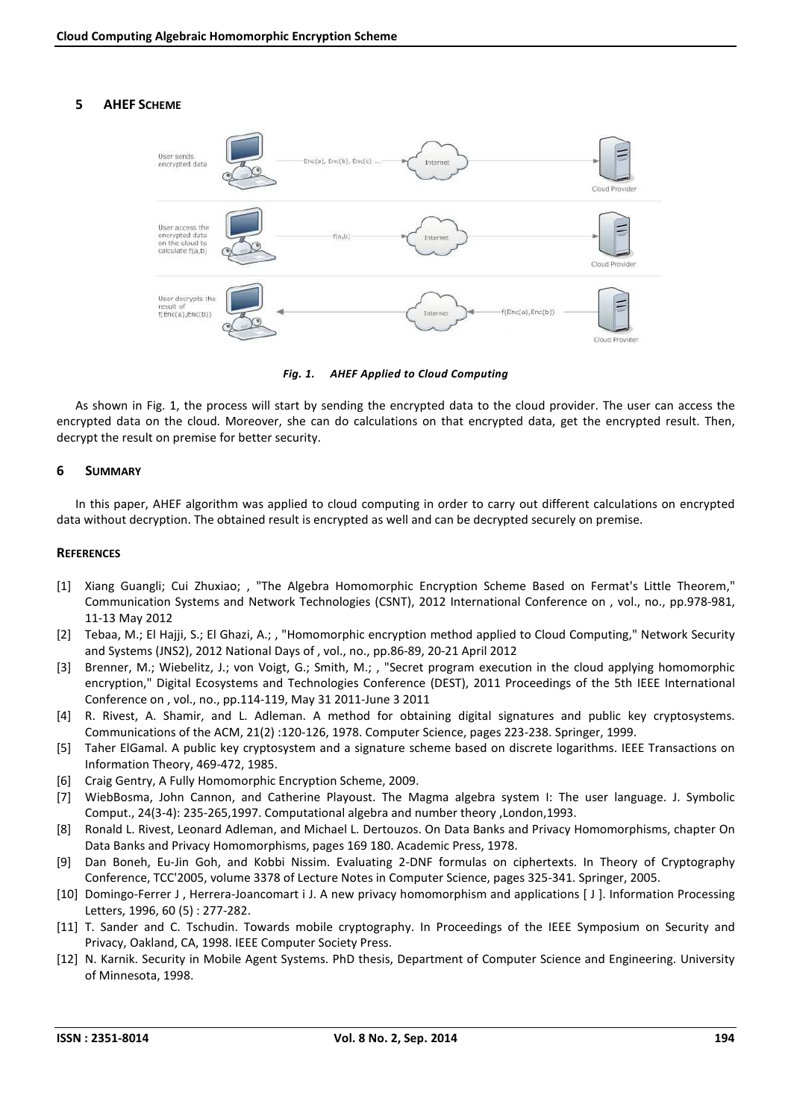# **5 AHEF SCHEME**



*Fig. 1. AHEF Applied to Cloud Computing* 

As shown in Fig. 1, the process will start by sending the encrypted data to the cloud provider. The user can access the encrypted data on the cloud. Moreover, she can do calculations on that encrypted data, get the encrypted result. Then, decrypt the result on premise for better security.

## **6 SUMMARY**

In this paper, AHEF algorithm was applied to cloud computing in order to carry out different calculations on encrypted data without decryption. The obtained result is encrypted as well and can be decrypted securely on premise.

### **REFERENCES**

- [1] Xiang Guangli; Cui Zhuxiao; , "The Algebra Homomorphic Encryption Scheme Based on Fermat's Little Theorem," Communication Systems and Network Technologies (CSNT), 2012 International Conference on , vol., no., pp.978-981, 11-13 May 2012
- [2] Tebaa, M.; El Hajji, S.; El Ghazi, A.; , "Homomorphic encryption method applied to Cloud Computing," Network Security and Systems (JNS2), 2012 National Days of , vol., no., pp.86-89, 20-21 April 2012
- [3] Brenner, M.; Wiebelitz, J.; von Voigt, G.; Smith, M.; , "Secret program execution in the cloud applying homomorphic encryption," Digital Ecosystems and Technologies Conference (DEST), 2011 Proceedings of the 5th IEEE International Conference on , vol., no., pp.114-119, May 31 2011-June 3 2011
- [4] R. Rivest, A. Shamir, and L. Adleman. A method for obtaining digital signatures and public key cryptosystems. Communications of the ACM, 21(2) :120-126, 1978. Computer Science, pages 223-238. Springer, 1999.
- [5] Taher ElGamal. A public key cryptosystem and a signature scheme based on discrete logarithms. IEEE Transactions on Information Theory, 469-472, 1985.
- [6] Craig Gentry, A Fully Homomorphic Encryption Scheme, 2009.
- [7] WiebBosma, John Cannon, and Catherine Playoust. The Magma algebra system I: The user language. J. Symbolic Comput., 24(3-4): 235-265,1997. Computational algebra and number theory ,London,1993.
- [8] Ronald L. Rivest, Leonard Adleman, and Michael L. Dertouzos. On Data Banks and Privacy Homomorphisms, chapter On Data Banks and Privacy Homomorphisms, pages 169 180. Academic Press, 1978.
- [9] Dan Boneh, Eu-Jin Goh, and Kobbi Nissim. Evaluating 2-DNF formulas on ciphertexts. In Theory of Cryptography Conference, TCC'2005, volume 3378 of Lecture Notes in Computer Science, pages 325-341. Springer, 2005.
- [10] Domingo-Ferrer J , Herrera-Joancomart i J. A new privacy homomorphism and applications [ J ]. Information Processing Letters, 1996, 60 (5) : 277-282.
- [11] T. Sander and C. Tschudin. Towards mobile cryptography. In Proceedings of the IEEE Symposium on Security and Privacy, Oakland, CA, 1998. IEEE Computer Society Press.
- [12] N. Karnik. Security in Mobile Agent Systems. PhD thesis, Department of Computer Science and Engineering. University of Minnesota, 1998.